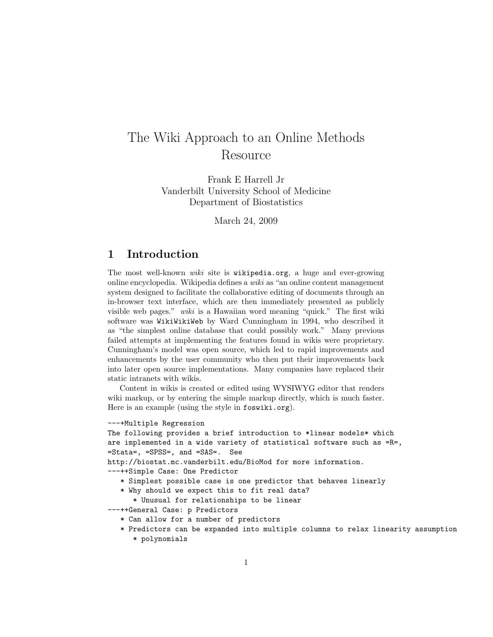# The Wiki Approach to an Online Methods Resource

Frank E Harrell Jr Vanderbilt University School of Medicine Department of Biostatistics

March 24, 2009

#### 1 Introduction

The most well-known wiki site is wikipedia.org, a huge and ever-growing online encyclopedia. Wikipedia defines a wiki as "an online content management system designed to facilitate the collaborative editing of documents through an in-browser text interface, which are then immediately presented as publicly visible web pages." wiki is a Hawaiian word meaning "quick." The first wiki software was WikiWikiWeb by Ward Cunningham in 1994, who described it as "the simplest online database that could possibly work." Many previous failed attempts at implementing the features found in wikis were proprietary. Cunningham's model was open source, which led to rapid improvements and enhancements by the user community who then put their improvements back into later open source implementations. Many companies have replaced their static intranets with wikis.

Content in wikis is created or edited using WYSIWYG editor that renders wiki markup, or by entering the simple markup directly, which is much faster. Here is an example (using the style in foswiki.org).

```
---+Multiple Regression
```

```
The following provides a brief introduction to *linear models* which
are implemented in a wide variety of statistical software such as =R=,
=Stata=, =SPSS=, and =SAS=. See
http://biostat.mc.vanderbilt.edu/BioMod for more information.
---++Simple Case: One Predictor
   * Simplest possible case is one predictor that behaves linearly
   * Why should we expect this to fit real data?
      * Unusual for relationships to be linear
---++General Case: p Predictors
   * Can allow for a number of predictors
   * Predictors can be expanded into multiple columns to relax linearity assumption
      * polynomials
```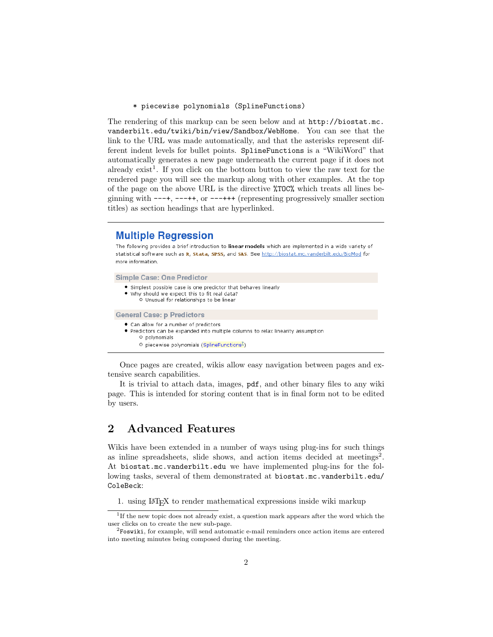\* piecewise polynomials (SplineFunctions)

The rendering of this markup can be seen below and at http://biostat.mc. vanderbilt.edu/twiki/bin/view/Sandbox/WebHome. You can see that the link to the URL was made automatically, and that the asterisks represent different indent levels for bullet points. SplineFunctions is a "WikiWord" that automatically generates a new page underneath the current page if it does not already exist<sup>1</sup>. If you click on the bottom button to view the raw text for the rendered page you will see the markup along with other examples. At the top of the page on the above URL is the directive %TOC% which treats all lines beginning with ---+, ---++, or ---+++ (representing progressively smaller section titles) as section headings that are hyperlinked.

#### **Multiple Regression**

The following provides a brief introduction to linear models which are implemented in a wide variety of statistical software such as R, Stata, SPSS, and SAS. See http://biostat.mc.vanderbilt.edu/BioMod for more information.

**Simple Case: One Predictor** 

- · Simplest possible case is one predictor that behaves linearly
- . Why should we expect this to fit real data? O Unusual for relationships to be linear

**General Case: p Predictors** 

- Can allow for a number of predictors
- . Predictors can be expanded into multiple columns to relax linearity assumption O polynomials
	- O piecewise polynomials (SplineFunctions<sup>2</sup>)

Once pages are created, wikis allow easy navigation between pages and extensive search capabilities.

It is trivial to attach data, images, pdf, and other binary files to any wiki page. This is intended for storing content that is in final form not to be edited by users.

## 2 Advanced Features

Wikis have been extended in a number of ways using plug-ins for such things as inline spreadsheets, slide shows, and action items decided at meetings<sup>2</sup>. At biostat.mc.vanderbilt.edu we have implemented plug-ins for the following tasks, several of them demonstrated at biostat.mc.vanderbilt.edu/ ColeBeck:

1. using LATEX to render mathematical expressions inside wiki markup

<sup>&</sup>lt;sup>1</sup>If the new topic does not already exist, a question mark appears after the word which the user clicks on to create the new sub-page.

 ${}^{2}$ Foswiki, for example, will send automatic e-mail reminders once action items are entered into meeting minutes being composed during the meeting.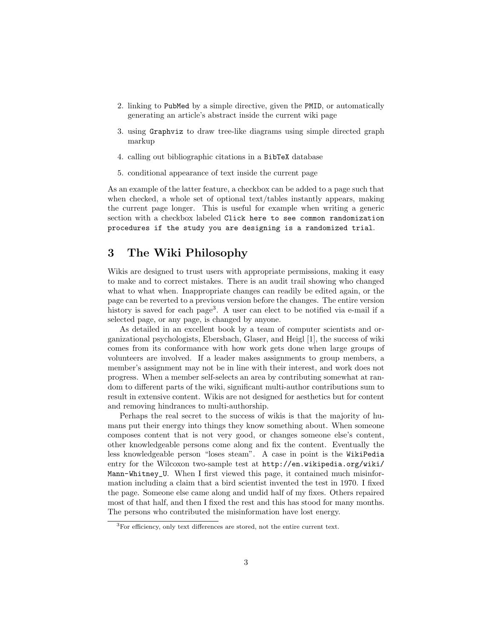- 2. linking to PubMed by a simple directive, given the PMID, or automatically generating an article's abstract inside the current wiki page
- 3. using Graphviz to draw tree-like diagrams using simple directed graph markup
- 4. calling out bibliographic citations in a BibTeX database
- 5. conditional appearance of text inside the current page

As an example of the latter feature, a checkbox can be added to a page such that when checked, a whole set of optional text/tables instantly appears, making the current page longer. This is useful for example when writing a generic section with a checkbox labeled Click here to see common randomization procedures if the study you are designing is a randomized trial.

#### 3 The Wiki Philosophy

Wikis are designed to trust users with appropriate permissions, making it easy to make and to correct mistakes. There is an audit trail showing who changed what to what when. Inappropriate changes can readily be edited again, or the page can be reverted to a previous version before the changes. The entire version history is saved for each page<sup>3</sup>. A user can elect to be notified via e-mail if a selected page, or any page, is changed by anyone.

As detailed in an excellent book by a team of computer scientists and organizational psychologists, Ebersbach, Glaser, and Heigl [1], the success of wiki comes from its conformance with how work gets done when large groups of volunteers are involved. If a leader makes assignments to group members, a member's assignment may not be in line with their interest, and work does not progress. When a member self-selects an area by contributing somewhat at random to different parts of the wiki, significant multi-author contributions sum to result in extensive content. Wikis are not designed for aesthetics but for content and removing hindrances to multi-authorship.

Perhaps the real secret to the success of wikis is that the majority of humans put their energy into things they know something about. When someone composes content that is not very good, or changes someone else's content, other knowledgeable persons come along and fix the content. Eventually the less knowledgeable person "loses steam". A case in point is the WikiPedia entry for the Wilcoxon two-sample test at http://en.wikipedia.org/wiki/ Mann-Whitney\_U. When I first viewed this page, it contained much misinformation including a claim that a bird scientist invented the test in 1970. I fixed the page. Someone else came along and undid half of my fixes. Others repaired most of that half, and then I fixed the rest and this has stood for many months. The persons who contributed the misinformation have lost energy.

<sup>3</sup>For efficiency, only text differences are stored, not the entire current text.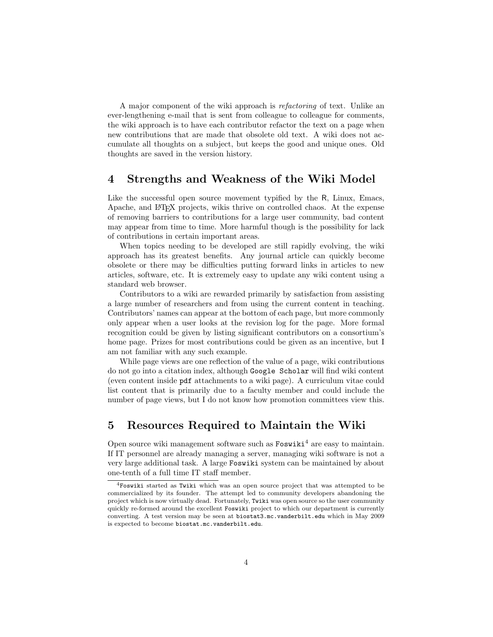A major component of the wiki approach is refactoring of text. Unlike an ever-lengthening e-mail that is sent from colleague to colleague for comments, the wiki approach is to have each contributor refactor the text on a page when new contributions that are made that obsolete old text. A wiki does not accumulate all thoughts on a subject, but keeps the good and unique ones. Old thoughts are saved in the version history.

#### 4 Strengths and Weakness of the Wiki Model

Like the successful open source movement typified by the R, Linux, Emacs, Apache, and LATEX projects, wikis thrive on controlled chaos. At the expense of removing barriers to contributions for a large user community, bad content may appear from time to time. More harmful though is the possibility for lack of contributions in certain important areas.

When topics needing to be developed are still rapidly evolving, the wiki approach has its greatest benefits. Any journal article can quickly become obsolete or there may be difficulties putting forward links in articles to new articles, software, etc. It is extremely easy to update any wiki content using a standard web browser.

Contributors to a wiki are rewarded primarily by satisfaction from assisting a large number of researchers and from using the current content in teaching. Contributors' names can appear at the bottom of each page, but more commonly only appear when a user looks at the revision log for the page. More formal recognition could be given by listing significant contributors on a consortium's home page. Prizes for most contributions could be given as an incentive, but I am not familiar with any such example.

While page views are one reflection of the value of a page, wiki contributions do not go into a citation index, although Google Scholar will find wiki content (even content inside pdf attachments to a wiki page). A curriculum vitae could list content that is primarily due to a faculty member and could include the number of page views, but I do not know how promotion committees view this.

### 5 Resources Required to Maintain the Wiki

Open source wiki management software such as  $\text{Foswiki}^4$  are easy to maintain. If IT personnel are already managing a server, managing wiki software is not a very large additional task. A large Foswiki system can be maintained by about one-tenth of a full time IT staff member.

<sup>4</sup>Foswiki started as Twiki which was an open source project that was attempted to be commercialized by its founder. The attempt led to community developers abandoning the project which is now virtually dead. Fortunately, Twiki was open source so the user community quickly re-formed around the excellent Foswiki project to which our department is currently converting. A test version may be seen at biostat3.mc.vanderbilt.edu which in May 2009 is expected to become biostat.mc.vanderbilt.edu.